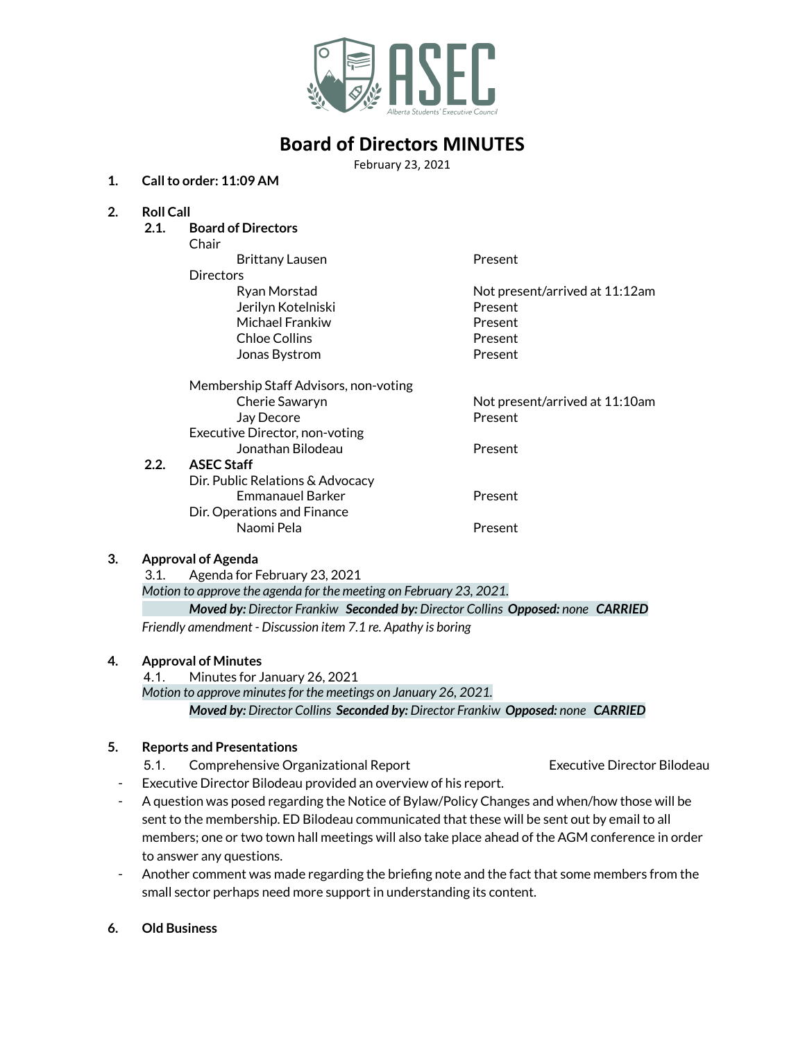

# **Board of Directors MINUTES**

February 23, 2021

### **1. Callto order: 11:09 AM**

### **2. Roll Call**

**2.1. Board of Directors** Chair Brittany Lausen **Present Directors** Ryan Morstad Not present/arrived at 11:12am Jerilyn Kotelniski Present Michael Frankiw **Present** Chloe Collins **Present** Jonas Bystrom **Present** Membership Staff Advisors, non-voting Cherie Sawaryn Not present/arrived at 11:10am Jay Decore **Present** Executive Director, non-voting Jonathan Bilodeau **Present 2.2. ASEC Staff** Dir. Public Relations & Advocacy Emmanauel Barker **Present** Dir. Operations and Finance Naomi Pela **Present** 

#### **3. Approval of Agenda**

3.1. Agenda for February 23, 2021 *Motion to approve the agenda for the meeting on February 23, 2021.*

*Moved by: Director Frankiw Seconded by: Director Collins Opposed: none CARRIED Friendly amendment - Discussion item 7.1 re. Apathy is boring*

#### **4. Approval of Minutes**

4.1. Minutes for January 26, 2021

*Motion to approve minutesfor the meetings on January 26, 2021.*

*Moved by: Director Collins Seconded by: Director Frankiw Opposed: none CARRIED*

#### **5. Reports and Presentations**

- 5.1. Comprehensive Organizational Report Executive Director Bilodeau
- Executive Director Bilodeau provided an overview of his report.
- A question was posed regarding the Notice of Bylaw/Policy Changes and when/how those will be sent to the membership. ED Bilodeau communicated that these will be sent out by email to all members; one or two town hall meetings will also take place ahead of the AGM conference in order to answer any questions.
- Another comment was made regarding the briefing note and the fact that some members from the small sector perhaps need more support in understanding its content.
- **6. Old Business**